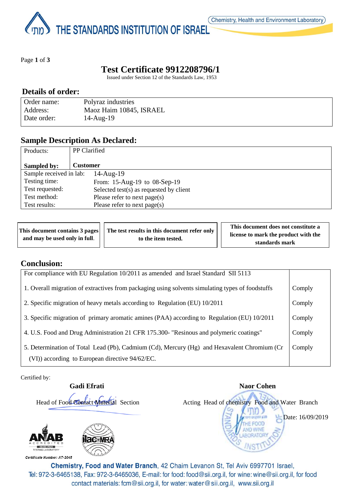THE STANDARDS INSTITUTION OF ISRAEL

Page **1** of **3**

# **Test Certificate 9912208796/1**

Issued under Section 12 of the Standards Law, 1953

### **Details of order:**

| Order name: | Polyraz industries      |
|-------------|-------------------------|
| Address:    | Maoz Haim 10845, ISRAEL |
| Date order: | $14$ -Aug- $19$         |

### **Sample Description As Declared:**

| Products:               | <b>PP</b> Clarified                     |  |
|-------------------------|-----------------------------------------|--|
| Sampled by:             | <b>Customer</b>                         |  |
| Sample received in lab: | $14$ -Aug- $19$                         |  |
| Testing time:           | From: 15-Aug-19 to 08-Sep-19            |  |
| Test requested:         | Selected test(s) as requested by client |  |
| Test method:            | Please refer to next page(s)            |  |
| Test results:           | Please refer to next page(s)            |  |

| This document contains 3 pages | The test results in this document refer only | This document does not constitute a  |  |
|--------------------------------|----------------------------------------------|--------------------------------------|--|
| and may be used only in full.  | to the item tested.                          | license to mark the product with the |  |
|                                |                                              | standards mark                       |  |

#### **Conclusion:**

| For compliance with EU Regulation 10/2011 as amended and Israel Standard SII 5113                                                              |        |
|------------------------------------------------------------------------------------------------------------------------------------------------|--------|
| 1. Overall migration of extractives from packaging using solvents simulating types of foodstuffs                                               | Comply |
| 2. Specific migration of heavy metals according to Regulation (EU) 10/2011                                                                     | Comply |
| 3. Specific migration of primary aromatic amines (PAA) according to Regulation (EU) 10/2011                                                    | Comply |
| 4. U.S. Food and Drug Administration 21 CFR 175.300- "Resinous and polymeric coatings"                                                         | Comply |
| 5. Determination of Total Lead (Pb), Cadmium (Cd), Mercury (Hg) and Hexavalent Chromium (Cr<br>(VI)) according to European directive 94/62/EC. | Comply |

Certified by:

**Gadi Efrati** Naor Cohen Head of Food Contact Material Section Acting Head of chemistry Food and Water Branch Date: 16/09/2019ΩĐ ISO/IEC 17025<br>TESTING LABORATORY Certificate Number: AT-2045 Chemistry, Food and Water Branch, 42 Chaim Levanon St, Tel Aviv 6997701 Israel,

Tel: 972-3-6465138, Fax: 972-3-6465036, E-mail: for food: food@sii.org.il, for wine: wine@sii.org.il, for food contact materials: fcm@sii.org.il, for water: water@sii.org.il, www.sii.org.il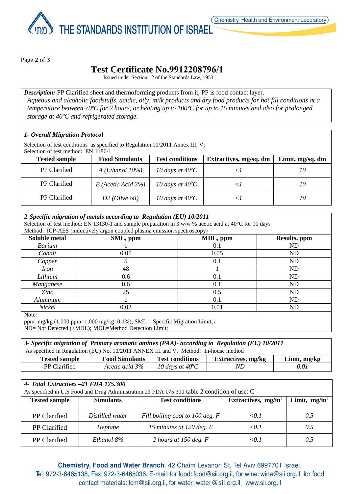THE STANDARDS INSTITUTION OF ISRAEL

Page **2** of **3**

# **Test Certificate No.9912208796/1**

Issued under Section 12 of the Standards Law, 1953

*Description:* PP Clarified sheet and thermoforming products from it, PP is food contact layer. *Aqueous and alcoholic foodstuffs, acidic, oily, milk products and dry food products for hot fill conditions at a temperature between 70ºC for 2 hours, or heating up to 100ºC for up to 15 minutes and also for prolonged storage at 40ºC and refrigerated storage.*

#### *1- Overall Migration Protocol*

Selection of test conditions as specified to Regulation 10/2011 Annex III, V; Selection of test method: EN 1186-1

| <b>Tested sample</b> | <b>Food Simulants</b>     | <b>Test conditions</b>    | Extractives, mg/sq. dm | Limit, mg/sq. dm |
|----------------------|---------------------------|---------------------------|------------------------|------------------|
| PP Clarified         | $A$ ( <i>Ethanol</i> 10%) | 10 days at $40^{\circ}$ C |                        | 10               |
| PP Clarified         | $B$ (Acetic Acid 3%)      | 10 days at $40^{\circ}$ C |                        | 10               |
| PP Clarified         | $D2$ ( <i>Olive oil</i> ) | 10 days at $40^{\circ}$ C |                        | 10               |

#### *2-Specific migration of metals according to Regulation (EU) 10/2011* Selection of test method: EN 13130-1 and sample preparation in 3  $w/w$  % acetic acid at 40 $^{\circ}$ C for 10 days Method: ICP-AES (inductively argon coupled plasma emission spectroscopy) **Soluble metal SML, ppm MDL, ppm Results, ppm** *Barium* 1 1 0.1 ND *Cobalt* 0.05 0.05 ND *Copper* 1 5 5 0.1 ND *Iron* 1 ND *Lithium* 0.6 0.1 ND *Manganese* 1 0.6 0.1 1 DD *Zinc* 25 0.5 ND *Aluminum* 1 0.1 ND *Nickel* 0.02 0.01 ND Note:

ppm=mg/kg (1,000 ppm=1,000 mg/kg=0.1%); SML = Specific Migration Limit;x ND= Not Detected (<MDL); MDL=Method Detection Limit;

| 3- Specific migration of Primary aromatic amines (PAA)- according to Regulation (EU) 10/2011 |                       |                           |                           |                |
|----------------------------------------------------------------------------------------------|-----------------------|---------------------------|---------------------------|----------------|
| As specified in Regulation (EU) No. 10/2011 ANNEX III and V. Method: In-house method         |                       |                           |                           |                |
| <b>Tested sample</b>                                                                         | <b>Food Simulants</b> | <b>Test conditions</b>    | <b>Extractives, mg/kg</b> | Limit, $mg/kg$ |
| PP Clarified                                                                                 | Acetic acid 3%        | 10 days at $40^{\circ}$ C | ND                        | 0.01           |

| 4- Total Extractives -21 FDA 175.300<br>As specified in U.S Food and Drug Administration 21 FDA 175.300 table 2 condition of use: C |                  |                                 |                        |                  |
|-------------------------------------------------------------------------------------------------------------------------------------|------------------|---------------------------------|------------------------|------------------|
| <b>Tested sample</b>                                                                                                                | <b>Simulants</b> | <b>Test conditions</b>          | Extractives, $mg/in^2$ | Limit, $mg/in^2$ |
| PP Clarified                                                                                                                        | Distilled water  | Fill boiling cool to 100 deg. F | $\le 0.1$              | 0.5              |
| <b>PP</b> Clarified                                                                                                                 | Heptane          | 15 minutes at 120 deg. F        | $\le 0.1$              | 0.5              |
| PP Clarified                                                                                                                        | Ethanol 8%       | 2 hours at 150 deg. $F$         | < 0.1                  | 0.5              |

Chemistry, Food and Water Branch, 42 Chaim Levanon St, Tel Aviv 6997701 Israel, Tel: 972-3-6465138, Fax: 972-3-6465036, E-mail: for food: food@sii.org.il, for wine: wine@sii.org.il, for food contact materials: fcm@sii.org.il, for water: water@sii.org.il, www.sii.org.il